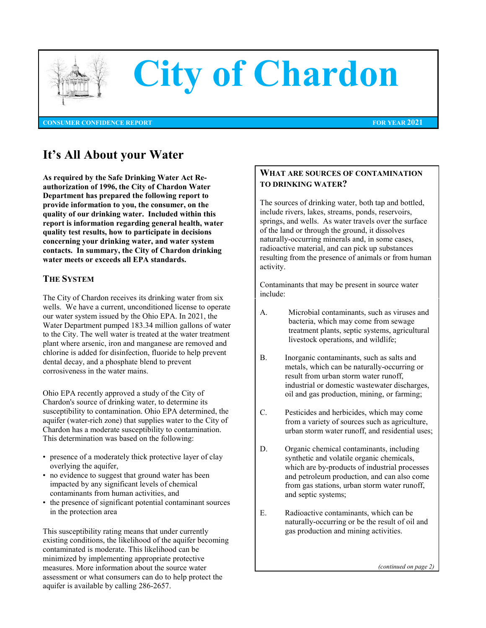

# **City of Chardon**

**CONSUMER CONFIDENCE REPORT FOR YEAR 2021**

## **It's All About your Water**

**As required by the Safe Drinking Water Act Reauthorization of 1996, the City of Chardon Water Department has prepared the following report to provide information to you, the consumer, on the quality of our drinking water. Included within this report is information regarding general health, water quality test results, how to participate in decisions concerning your drinking water, and water system contacts. In summary, the City of Chardon drinking water meets or exceeds all EPA standards.** 

### **THE SYSTEM**

The City of Chardon receives its drinking water from six wells. We have a current, unconditioned license to operate our water system issued by the Ohio EPA. In 2021, the Water Department pumped 183.34 million gallons of water to the City. The well water is treated at the water treatment plant where arsenic, iron and manganese are removed and chlorine is added for disinfection, fluoride to help prevent dental decay, and a phosphate blend to prevent corrosiveness in the water mains.

Ohio EPA recently approved a study of the City of Chardon's source of drinking water, to determine its susceptibility to contamination. Ohio EPA determined, the aquifer (water-rich zone) that supplies water to the City of Chardon has a moderate susceptibility to contamination. This determination was based on the following:

- presence of a moderately thick protective layer of clay overlying the aquifer,
- no evidence to suggest that ground water has been impacted by any significant levels of chemical contaminants from human activities, and
- the presence of significant potential contaminant sources in the protection area

This susceptibility rating means that under currently existing conditions, the likelihood of the aquifer becoming contaminated is moderate. This likelihood can be minimized by implementing appropriate protective measures. More information about the source water assessment or what consumers can do to help protect the aquifer is available by calling 286-2657.

### **WHAT ARE SOURCES OF CONTAMINATION TO DRINKING WATER?**

The sources of drinking water, both tap and bottled, include rivers, lakes, streams, ponds, reservoirs, springs, and wells. As water travels over the surface of the land or through the ground, it dissolves naturally-occurring minerals and, in some cases, radioactive material, and can pick up substances resulting from the presence of animals or from human activity.

Contaminants that may be present in source water include:

- A. Microbial contaminants, such as viruses and bacteria, which may come from sewage treatment plants, septic systems, agricultural livestock operations, and wildlife;
- B. Inorganic contaminants, such as salts and metals, which can be naturally-occurring or result from urban storm water runoff, industrial or domestic wastewater discharges, oil and gas production, mining, or farming;
- C. Pesticides and herbicides, which may come from a variety of sources such as agriculture, urban storm water runoff, and residential uses;
- D. Organic chemical contaminants, including synthetic and volatile organic chemicals, which are by-products of industrial processes and petroleum production, and can also come from gas stations, urban storm water runoff, and septic systems;
- E. Radioactive contaminants, which can be naturally-occurring or be the result of oil and gas production and mining activities.

*(continued on page 2)*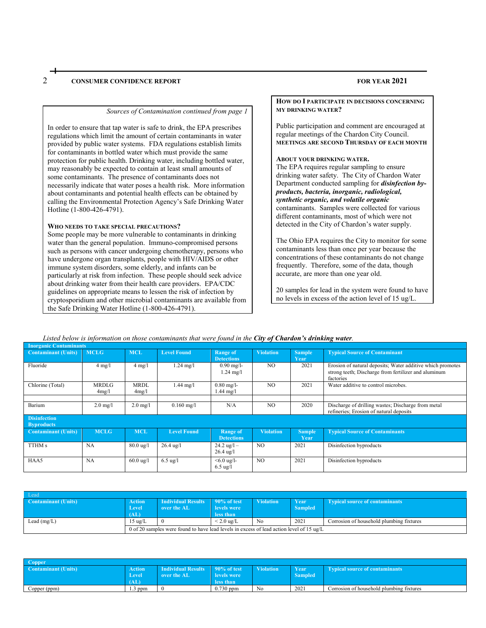#### 2 **CONSUMER CONFIDENCE REPORT FOR YEAR 2021**

#### *Sources of Contamination continued from page 1*

In order to ensure that tap water is safe to drink, the EPA prescribes regulations which limit the amount of certain contaminants in water provided by public water systems. FDA regulations establish limits for contaminants in bottled water which must provide the same protection for public health. Drinking water, including bottled water, may reasonably be expected to contain at least small amounts of some contaminants. The presence of contaminants does not necessarily indicate that water poses a health risk. More information about contaminants and potential health effects can be obtained by calling the Environmental Protection Agency's Safe Drinking Water Hotline (1-800-426-4791).

#### **WHO NEEDS TO TAKE SPECIAL PRECAUTIONS?**

Some people may be more vulnerable to contaminants in drinking water than the general population. Immuno-compromised persons such as persons with cancer undergoing chemotherapy, persons who have undergone organ transplants, people with HIV/AIDS or other immune system disorders, some elderly, and infants can be particularly at risk from infection. These people should seek advice about drinking water from their health care providers. EPA/CDC guidelines on appropriate means to lessen the risk of infection by cryptosporidium and other microbial contaminants are available from the Safe Drinking Water Hotline (1-800-426-4791).

**HOW DO I PARTICIPATE IN DECISIONS CONCERNING MY DRINKING WATER?**

Public participation and comment are encouraged at regular meetings of the Chardon City Council. **MEETINGS ARE SECOND THURSDAY OF EACH MONTH**

#### **ABOUT YOUR DRINKING WATER.**

The EPA requires regular sampling to ensure drinking water safety. The City of Chardon Water Department conducted sampling for *disinfection byproducts, bacteria, inorganic, radiological, synthetic organic, and volatile organic* contaminants. Samples were collected for various different contaminants, most of which were not detected in the City of Chardon's water supply.

The Ohio EPA requires the City to monitor for some contaminants less than once per year because the concentrations of these contaminants do not change frequently. Therefore, some of the data, though accurate, are more than one year old.

20 samples for lead in the system were found to have no levels in excess of the action level of 15 ug/L.

#### *Listed below is information on those contaminants that were found in the City of Chardon's drinking water.*

| <b>Inorganic Contaminants</b>            |                       |                      |                     |                                              |                  |                       |                                                                                                                                 |
|------------------------------------------|-----------------------|----------------------|---------------------|----------------------------------------------|------------------|-----------------------|---------------------------------------------------------------------------------------------------------------------------------|
| <b>Contaminant (Units)</b>               | <b>MCLG</b>           | <b>MCL</b>           | <b>Level Found</b>  | <b>Range of</b><br><b>Detections</b>         | <b>Violation</b> | <b>Sample</b><br>Year | <b>Typical Source of Contaminant</b>                                                                                            |
| Fluoride                                 | $4 \text{ mg}/1$      | $4 \text{ mg}/1$     | $1.24$ mg/l         | $0.90$ mg/l-<br>$1.24 \text{ mg}/1$          | N <sub>O</sub>   | 2021                  | Erosion of natural deposits; Water additive which promotes<br>strong teeth; Discharge from fertilizer and aluminum<br>factories |
| Chlorine (Total)                         | <b>MRDLG</b><br>4mg/l | <b>MRDL</b><br>4mg/1 | $1.44$ mg/l         | $0.80$ mg/l-<br>$1.44$ mg/l                  | N <sub>O</sub>   | 2021                  | Water additive to control microbes.                                                                                             |
|                                          |                       |                      |                     |                                              |                  |                       |                                                                                                                                 |
| Barium                                   | $2.0 \text{ mg}/l$    | $2.0$ mg/l           | $0.160$ mg/l        | N/A                                          | NO.              | 2020                  | Discharge of drilling wastes; Discharge from metal<br>refineries; Erosion of natural deposits                                   |
| <b>Disinfection</b><br><b>Byproducts</b> |                       |                      |                     |                                              |                  |                       |                                                                                                                                 |
| <b>Contaminant (Units)</b>               | <b>MCLG</b>           | <b>MCL</b>           | <b>Level Found</b>  | Range of<br><b>Detections</b>                | <b>Violation</b> | <b>Sample</b><br>Year | <b>Typical Source of Contaminants</b>                                                                                           |
| TTHM s                                   | <b>NA</b>             | $80.0 \text{ ug}/l$  | $26.4 \text{ ug}/l$ | $24.2 \text{ ug}/l -$<br>$26.4 \text{ ug}/1$ | NO.              | 2021                  | Disinfection byproducts                                                                                                         |
| HAA5                                     | <b>NA</b>             | $60.0 \text{ ug}$ /l | $6.5 \text{ ug}/l$  | $< 6.0$ ug/l-<br>$6.5 \text{ ug}/l$          | NO.              | 2021                  | Disinfection byproducts                                                                                                         |

| Lead                       |                                                                                               |                                 |                      |                  |                |                                          |
|----------------------------|-----------------------------------------------------------------------------------------------|---------------------------------|----------------------|------------------|----------------|------------------------------------------|
| <b>Contaminant (Units)</b> | <b>Action</b>                                                                                 | Individual Results 190% of test |                      | <b>Violation</b> | - Year         | <b>Typical source of contaminants</b>    |
|                            | Level                                                                                         | over the AL                     | levels were          |                  | <b>Sampled</b> |                                          |
|                            | (AL)                                                                                          |                                 | less than            |                  |                |                                          |
| Lead $(mg/L)$              | $15 \text{ ug/L}$                                                                             |                                 | $< 2.0 \text{ ug/L}$ | No               | 2021           | Corrosion of household plumbing fixtures |
|                            | 0 of 20 samples were found to have lead levels in excess of lead action level of 15 $\mu$ g/L |                                 |                      |                  |                |                                          |

| Copper                     |               |                     |             |                  |                |                                          |
|----------------------------|---------------|---------------------|-------------|------------------|----------------|------------------------------------------|
| <b>Contaminant (Units)</b> | <b>Action</b> | Individual Results  | 90% of test | <b>Violation</b> | Year           | <b>Typical source of contaminants</b>    |
|                            | Level         | <b>Nover</b> the AL | levels were |                  | <b>Sampled</b> |                                          |
|                            | (AL)          |                     | less than   |                  |                |                                          |
| Copper (ppm)               | opm }         |                     | $0.730$ ppm | No.              | 202            | Corrosion of household plumbing fixtures |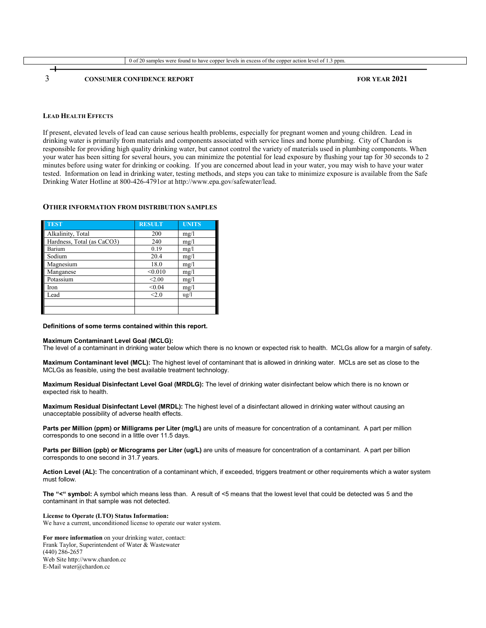

#### **LEAD HEALTH EFFECTS**

If present, elevated levels of lead can cause serious health problems, especially for pregnant women and young children. Lead in drinking water is primarily from materials and components associated with service lines and home plumbing. City of Chardon is responsible for providing high quality drinking water, but cannot control the variety of materials used in plumbing components. When your water has been sitting for several hours, you can minimize the potential for lead exposure by flushing your tap for 30 seconds to 2 minutes before using water for drinking or cooking. If you are concerned about lead in your water, you may wish to have your water tested. Information on lead in drinking water, testing methods, and steps you can take to minimize exposure is available from the Safe Drinking Water Hotline at 800-426-4791or at http://www.epa.gov/safewater/lead.

#### **OTHER INFORMATION FROM DISTRIBUTION SAMPLES**

| <b>TEST</b>                | <b>RESULT</b> | <b>UNITS</b>    |
|----------------------------|---------------|-----------------|
| Alkalinity, Total          | 200           | mg/1            |
| Hardness, Total (as CaCO3) | 240           | mg/1            |
| Barium                     | 0.19          | mg/l            |
| Sodium                     | 20.4          | mg/1            |
| Magnesium                  | 18.0          | mg/1            |
| Manganese                  | < 0.010       | mg/1            |
| Potassium                  | < 2.00        | mg/1            |
| Iron                       | < 0.04        | mg/1            |
| Lead                       | < 2.0         | $\frac{u g}{l}$ |
|                            |               |                 |
|                            |               |                 |

#### **Definitions of some terms contained within this report.**

#### **Maximum Contaminant Level Goal (MCLG):**

The level of a contaminant in drinking water below which there is no known or expected risk to health. MCLGs allow for a margin of safety.

**Maximum Contaminant level (MCL):** The highest level of contaminant that is allowed in drinking water. MCLs are set as close to the MCLGs as feasible, using the best available treatment technology.

**Maximum Residual Disinfectant Level Goal (MRDLG):** The level of drinking water disinfectant below which there is no known or expected risk to health.

**Maximum Residual Disinfectant Level (MRDL):** The highest level of a disinfectant allowed in drinking water without causing an unacceptable possibility of adverse health effects.

**Parts per Million (ppm) or Milligrams per Liter (mg/L)** are units of measure for concentration of a contaminant. A part per million corresponds to one second in a little over 11.5 days.

**Parts per Billion (ppb) or Micrograms per Liter (ug/L)** are units of measure for concentration of a contaminant. A part per billion corresponds to one second in 31.7 years.

Action Level (AL): The concentration of a contaminant which, if exceeded, triggers treatment or other requirements which a water system must follow.

**The "<" symbol:** A symbol which means less than. A result of <5 means that the lowest level that could be detected was 5 and the contaminant in that sample was not detected.

**License to Operate (LTO) Status Information:**

We have a current, unconditioned license to operate our water system.

**For more information** on your drinking water, contact: Frank Taylor, Superintendent of Water & Wastewater (440) 286-2657 Web Site http://www.chardon.cc E-Mail water@chardon.cc